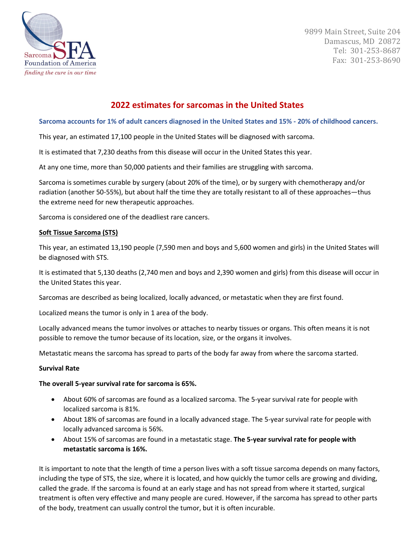

9899 Main Street, Suite 204 Damascus, MD 20872 Tel: 301-253-8687 Fax: 301-253-8690

# **2022 estimates for sarcomas in the United States**

### **Sarcoma accounts for 1% of adult cancers diagnosed in the United States and 15% - 20% of childhood cancers.**

This year, an estimated 17,100 people in the United States will be diagnosed with sarcoma.

It is estimated that 7,230 deaths from this disease will occur in the United States this year.

At any one time, more than 50,000 patients and their families are struggling with sarcoma.

Sarcoma is sometimes curable by surgery (about 20% of the time), or by surgery with chemotherapy and/or radiation (another 50-55%), but about half the time they are totally resistant to all of these approaches—thus the extreme need for new therapeutic approaches.

Sarcoma is considered one of the deadliest rare cancers.

## **Soft Tissue Sarcoma (STS)**

This year, an estimated 13,190 people (7,590 men and boys and 5,600 women and girls) in the United States will be diagnosed with STS.

It is estimated that 5,130 deaths (2,740 men and boys and 2,390 women and girls) from this disease will occur in the United States this year.

Sarcomas are described as being localized, locally advanced, or metastatic when they are first found.

Localized means the tumor is only in 1 area of the body.

Locally advanced means the tumor involves or attaches to nearby tissues or organs. This often means it is not possible to remove the tumor because of its location, size, or the organs it involves.

Metastatic means the sarcoma has spread to parts of the body far away from where the sarcoma started.

### **Survival Rate**

### **The overall 5-year survival rate for sarcoma is 65%.**

- About 60% of sarcomas are found as a localized sarcoma. The 5-year survival rate for people with localized sarcoma is 81%.
- About 18% of sarcomas are found in a locally advanced stage. The 5-year survival rate for people with locally advanced sarcoma is 56%.
- About 15% of sarcomas are found in a metastatic stage. **The 5-year survival rate for people with metastatic sarcoma is 16%.**

It is important to note that the length of time a person lives with a soft tissue sarcoma depends on many factors, including the type of STS, the size, where it is located, and how quickly the tumor cells are growing and dividing, called the grade. If the sarcoma is found at an early stage and has not spread from where it started, surgical treatment is often very effective and many people are cured. However, if the sarcoma has spread to other parts of the body, treatment can usually control the tumor, but it is often incurable.